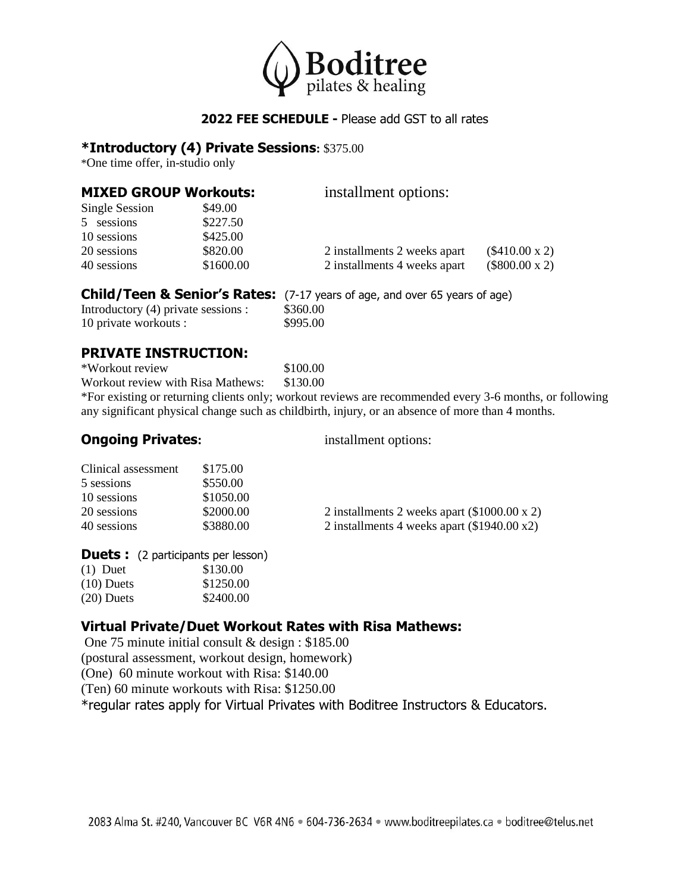

### **2022 FEE SCHEDULE -** Please add GST to all rates

#### **\*Introductory (4) Private Sessions:** \$375.00

\*One time offer, in-studio only

| <b>MIXED GROUP Workouts:</b> |           | installment options:         |                       |  |
|------------------------------|-----------|------------------------------|-----------------------|--|
| Single Session               | \$49.00   |                              |                       |  |
| 5 sessions                   | \$227.50  |                              |                       |  |
| 10 sessions                  | \$425.00  |                              |                       |  |
| 20 sessions                  | \$820.00  | 2 installments 2 weeks apart | $(\$410.00 \times 2)$ |  |
| 40 sessions                  | \$1600.00 | 2 installments 4 weeks apart | $(\$800.00 \times 2)$ |  |

#### **Child/Teen & Senior's Rates:** (7-17 years of age, and over 65 years of age)

| Introductory (4) private sessions : | \$360.00 |
|-------------------------------------|----------|
| 10 private workouts :               | \$995.00 |

#### **PRIVATE INSTRUCTION:**

\*Workout review \$100.00 Workout review with Risa Mathews: \$130.00 \*For existing or returning clients only; workout reviews are recommended every 3-6 months, or following any significant physical change such as childbirth, injury, or an absence of more than 4 months.

#### **Ongoing Privates:** installment options:

| Clinical assessment | \$175.00  |                                                       |
|---------------------|-----------|-------------------------------------------------------|
| 5 sessions          | \$550.00  |                                                       |
| 10 sessions         | \$1050.00 |                                                       |
| 20 sessions         | \$2000.00 | 2 installments 2 weeks apart $(\$1000.00 \times 2)$   |
| 40 sessions         | \$3880.00 | 2 installments 4 weeks apart $(\$1940.00 \text{ x2})$ |

#### **Duets :** (2 participants per lesson)

| \$130.00  |
|-----------|
| \$1250.00 |
| \$2400.00 |
|           |

### **Virtual Private/Duet Workout Rates with Risa Mathews:**

One 75 minute initial consult & design : \$185.00 (postural assessment, workout design, homework) (One) 60 minute workout with Risa: \$140.00 (Ten) 60 minute workouts with Risa: \$1250.00 \*regular rates apply for Virtual Privates with Boditree Instructors & Educators.